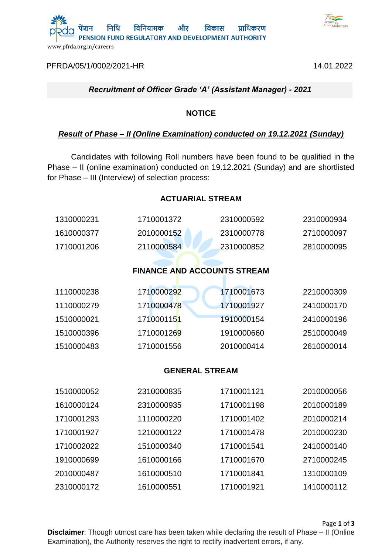

[PFRDA/05/1/0002/2021-HR](https://pfrda.eoffice.gov.in/eFile/?x=wjwOFkgl6oTG1PNdoYHh3yW-mNMUAZES) 14.01.2022



### *Recruitment of Officer Grade 'A' (Assistant Manager) - 2021*

#### **NOTICE**

### *Result of Phase – II (Online Examination) conducted on 19.12.2021 (Sunday)*

Candidates with following Roll numbers have been found to be qualified in the Phase – II (online examination) conducted on 19.12.2021 (Sunday) and are shortlisted for Phase – III (Interview) of selection process:

### **ACTUARIAL STREAM**

| 1310000231 | 1710001372                         | 2310000592 | 2310000934 |
|------------|------------------------------------|------------|------------|
| 1610000377 | 2010000152                         | 2310000778 | 2710000097 |
| 1710001206 | 2110000584                         | 2310000852 | 2810000095 |
|            |                                    |            |            |
|            | <b>FINANCE AND ACCOUNTS STREAM</b> |            |            |
| 1110000238 | 1710000292                         | 1710001673 | 2210000309 |
| 1110000279 | 1710000478                         | 1710001927 | 2410000170 |
| 1510000021 | 1710001151                         | 1910000154 | 2410000196 |
| 1510000396 | 1710001269                         | 1910000660 | 2510000049 |
| 1510000483 | 1710001556                         | 2010000414 | 2610000014 |
|            |                                    |            |            |
|            | <b>GENERAL STREAM</b>              |            |            |
| 1510000052 | 2310000835                         | 1710001121 | 2010000056 |
| 1610000124 | 2310000935                         | 1710001198 | 2010000189 |
| 1710001293 | 1110000220                         | 1710001402 | 2010000214 |
| 1710001927 | 1210000122                         | 1710001478 | 2010000230 |
| 1710002022 | 1510000340                         | 1710001541 | 2410000140 |
| 1910000699 | 1610000166                         | 1710001670 | 2710000245 |
| 2010000487 | 1610000510                         | 1710001841 | 1310000109 |
| 2310000172 | 1610000551                         | 1710001921 | 1410000112 |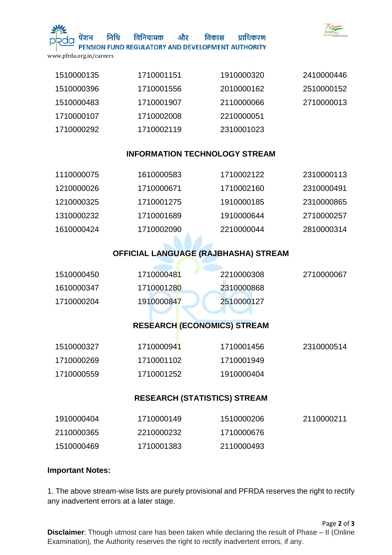

निधि

विनियामक और विकास प्राधिकरण PENSION FUND REGULATORY AND DEVELOPMENT AUTHORITY

www.pfrda.org.in/careers

| 1510000135 | 1710001151 | 1910000320 | 2410000446 |
|------------|------------|------------|------------|
| 1510000396 | 1710001556 | 2010000162 | 2510000152 |
| 1510000483 | 1710001907 | 2110000066 | 2710000013 |
| 1710000107 | 1710002008 | 2210000051 |            |
| 1710000292 | 1710002119 | 2310001023 |            |

### **INFORMATION TECHNOLOGY STREAM**

| 1110000075 | 1610000583 | 1710002122 | 2310000113 |
|------------|------------|------------|------------|
| 1210000026 | 1710000671 | 1710002160 | 2310000491 |
| 1210000325 | 1710001275 | 1910000185 | 2310000865 |
| 1310000232 | 1710001689 | 1910000644 | 2710000257 |
| 1610000424 | 1710002090 | 2210000044 | 2810000314 |
|            |            |            |            |

## **OFFICIAL LANGUAGE (RAJBHASHA) STREAM**

| 1610000347 | 1710001280 | 2310000868 |            |
|------------|------------|------------|------------|
| 1510000450 | 1710000481 | 2210000308 | 2710000067 |

# **RESEARCH (ECONOMICS) STREAM**

| 1510000327 | 1710000941 | 1710001456 | 2310000514 |
|------------|------------|------------|------------|
| 1710000269 | 1710001102 | 1710001949 |            |
| 1710000559 | 1710001252 | 1910000404 |            |

### **RESEARCH (STATISTICS) STREAM**

| 1910000404 | 1710000149 | 1510000206 | 2110000211 |
|------------|------------|------------|------------|
| 2110000365 | 2210000232 | 1710000676 |            |
| 1510000469 | 1710001383 | 2110000493 |            |

#### **Important Notes:**

1. The above stream-wise lists are purely provisional and PFRDA reserves the right to rectify any inadvertent errors at a later stage.

Page **2** of **3 Disclaimer**: Though utmost care has been taken while declaring the result of Phase – II (Online Examination), the Authority reserves the right to rectify inadvertent errors, if any.